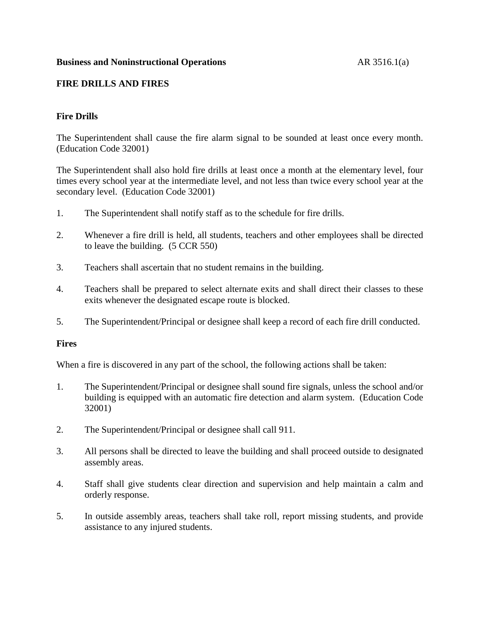#### **Business and Noninstructional Operations** AR 3516.1(a)

# **FIRE DRILLS AND FIRES**

# **Fire Drills**

The Superintendent shall cause the fire alarm signal to be sounded at least once every month. (Education Code 32001)

The Superintendent shall also hold fire drills at least once a month at the elementary level, four times every school year at the intermediate level, and not less than twice every school year at the secondary level. (Education Code 32001)

- 1. The Superintendent shall notify staff as to the schedule for fire drills.
- 2. Whenever a fire drill is held, all students, teachers and other employees shall be directed to leave the building. (5 CCR 550)
- 3. Teachers shall ascertain that no student remains in the building.
- 4. Teachers shall be prepared to select alternate exits and shall direct their classes to these exits whenever the designated escape route is blocked.
- 5. The Superintendent/Principal or designee shall keep a record of each fire drill conducted.

### **Fires**

When a fire is discovered in any part of the school, the following actions shall be taken:

- 1. The Superintendent/Principal or designee shall sound fire signals, unless the school and/or building is equipped with an automatic fire detection and alarm system. (Education Code 32001)
- 2. The Superintendent/Principal or designee shall call 911.
- 3. All persons shall be directed to leave the building and shall proceed outside to designated assembly areas.
- 4. Staff shall give students clear direction and supervision and help maintain a calm and orderly response.
- 5. In outside assembly areas, teachers shall take roll, report missing students, and provide assistance to any injured students.